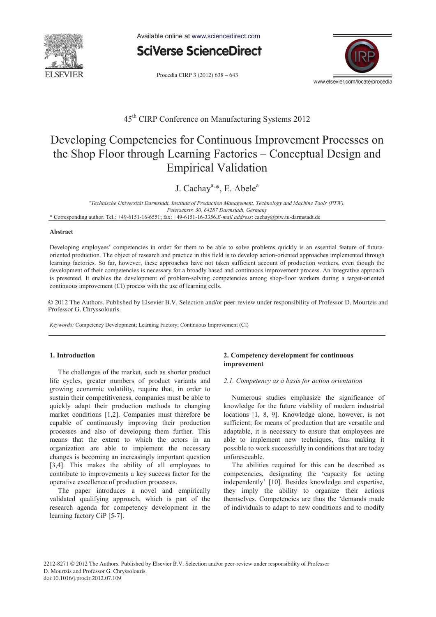

Available online at www.sciencedirect.com



Procedia CIRP 3 (2012) 638 - 643



### 45th CIRP Conference on Manufacturing Systems 2012

# Developing Competencies for Continuous Improvement Processes on the Shop Floor through Learning Factories – Conceptual Design and Empirical Validation

J. Cachay<sup>a,\*</sup>, E. Abele<sup>a</sup>

*a Technische Universität Darmstadt, Institute of Production Management, Technology and Machine Tools (PTW), Petersenstr. 30, 64287 Darmstadt, Germany*  \* Corresponding author. Tel.: +49-6151-16-6551; fax: +49-6151-16-3356.*E-mail address*: cachay@ptw.tu-darmstadt.de

#### **Abstract**

Developing employees' competencies in order for them to be able to solve problems quickly is an essential feature of futureoriented production. The object of research and practice in this field is to develop action-oriented approaches implemented through learning factories. So far, however, these approaches have not taken sufficient account of production workers, even though the development of their competencies is necessary for a broadly based and continuous improvement process. An integrative approach is presented. It enables the development of problem-solving competencies among shop-floor workers during a target-oriented continuous improvement (CI) process with the use of learning cells.

© 2012 The Authors. Published by Elsevier B.V. Selection and/or peer-review under responsibility of Professor D. Mourtzis and Professor G. Chryssolouris. Professor G. Chryssolouris.

*Keywords:* Competency Development; Learning Factory; Continuous Improvement (CI)

#### **1. Introduction**

The challenges of the market, such as shorter product life cycles, greater numbers of product variants and growing economic volatility, require that, in order to sustain their competitiveness, companies must be able to quickly adapt their production methods to changing market conditions [1,2]. Companies must therefore be capable of continuously improving their production processes and also of developing them further. This means that the extent to which the actors in an organization are able to implement the necessary changes is becoming an increasingly important question [3,4]. This makes the ability of all employees to contribute to improvements a key success factor for the operative excellence of production processes.

The paper introduces a novel and empirically validated qualifying approach, which is part of the research agenda for competency development in the learning factory CiP [5-7].

### **2. Competency development for continuous improvement**

#### *2.1. Competency as a basis for action orientation*

Numerous studies emphasize the significance of knowledge for the future viability of modern industrial locations [1, 8, 9]. Knowledge alone, however, is not sufficient; for means of production that are versatile and adaptable, it is necessary to ensure that employees are able to implement new techniques, thus making it possible to work successfully in conditions that are today unforeseeable.

The abilities required for this can be described as competencies, designating the 'capacity for acting independently' [10]. Besides knowledge and expertise, they imply the ability to organize their actions themselves. Competencies are thus the 'demands made of individuals to adapt to new conditions and to modify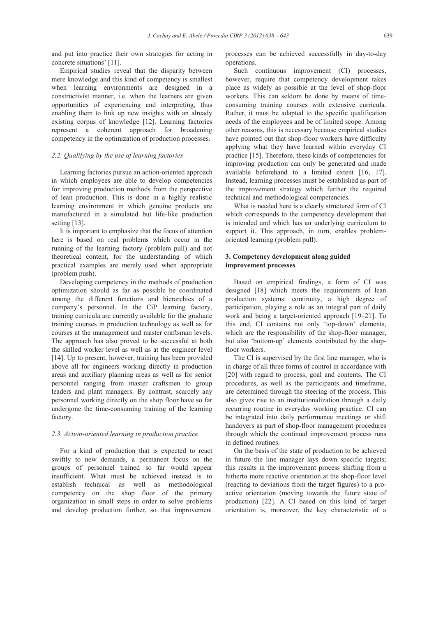and put into practice their own strategies for acting in concrete situations' [11].

Empirical studies reveal that the disparity between mere knowledge and this kind of competency is smallest when learning environments are designed in a constructivist manner, i.e. when the learners are given opportunities of experiencing and interpreting, thus enabling them to link up new insights with an already existing corpus of knowledge [12]. Learning factories represent a coherent approach for broadening competency in the optimization of production processes.

#### *2.2. Qualifying by the use of learning factories*

Learning factories pursue an action-oriented approach in which employees are able to develop competencies for improving production methods from the perspective of lean production. This is done in a highly realistic learning environment in which genuine products are manufactured in a simulated but life-like production setting [13].

It is important to emphasize that the focus of attention here is based on real problems which occur in the running of the learning factory (problem pull) and not theoretical content, for the understanding of which practical examples are merely used when appropriate (problem push).

Developing competency in the methods of production optimization should as far as possible be coordinated among the different functions and hierarchies of a company's personnel. In the CiP learning factory, training curricula are currently available for the graduate training courses in production technology as well as for courses at the management and master craftsman levels. The approach has also proved to be successful at both the skilled worker level as well as at the engineer level [14]. Up to present, however, training has been provided above all for engineers working directly in production areas and auxiliary planning areas as well as for senior personnel ranging from master craftsmen to group leaders and plant managers. By contrast, scarcely any personnel working directly on the shop floor have so far undergone the time-consuming training of the learning factory.

#### *2.3. Action-oriented learning in production practice*

For a kind of production that is expected to react swiftly to new demands, a permanent focus on the groups of personnel trained so far would appear insufficient. What must be achieved instead is to establish technical as well as methodological competency on the shop floor of the primary organization in small steps in order to solve problems and develop production further, so that improvement processes can be achieved successfully in day-to-day operations.

Such continuous improvement (CI) processes, however, require that competency development takes place as widely as possible at the level of shop-floor workers. This can seldom be done by means of timeconsuming training courses with extensive curricula. Rather, it must be adapted to the specific qualification needs of the employees and be of limited scope. Among other reasons, this is necessary because empirical studies have pointed out that shop-floor workers have difficulty applying what they have learned within everyday CI practice [15]. Therefore, these kinds of competencies for improving production can only be generated and made available beforehand to a limited extent [16, 17]. Instead, learning processes must be established as part of the improvement strategy which further the required technical and methodological competencies.

What is needed here is a clearly structured form of CI which corresponds to the competency development that is intended and which has an underlying curriculum to support it. This approach, in turn, enables problemoriented learning (problem pull).

#### **3. Competency development along guided improvement processes**

Based on empirical findings, a form of CI was designed [18] which meets the requirements of lean production systems: continuity, a high degree of participation, playing a role as an integral part of daily work and being a target-oriented approach [19–21]. To this end, CI contains not only 'top-down' elements, which are the responsibility of the shop-floor manager, but also 'bottom-up' elements contributed by the shopfloor workers.

The CI is supervised by the first line manager, who is in charge of all three forms of control in accordance with [20] with regard to process, goal and contents. The CI procedures, as well as the participants and timeframe, are determined through the steering of the process. This also gives rise to an institutionalization through a daily recurring routine in everyday working practice. CI can be integrated into daily performance meetings or shift handovers as part of shop-floor management procedures through which the continual improvement process runs in defined routines.

On the basis of the state of production to be achieved in future the line manager lays down specific targets; this results in the improvement process shifting from a hitherto more reactive orientation at the shop-floor level (reacting to deviations from the target figures) to a proactive orientation (moving towards the future state of production) [22]. A CI based on this kind of target orientation is, moreover, the key characteristic of a